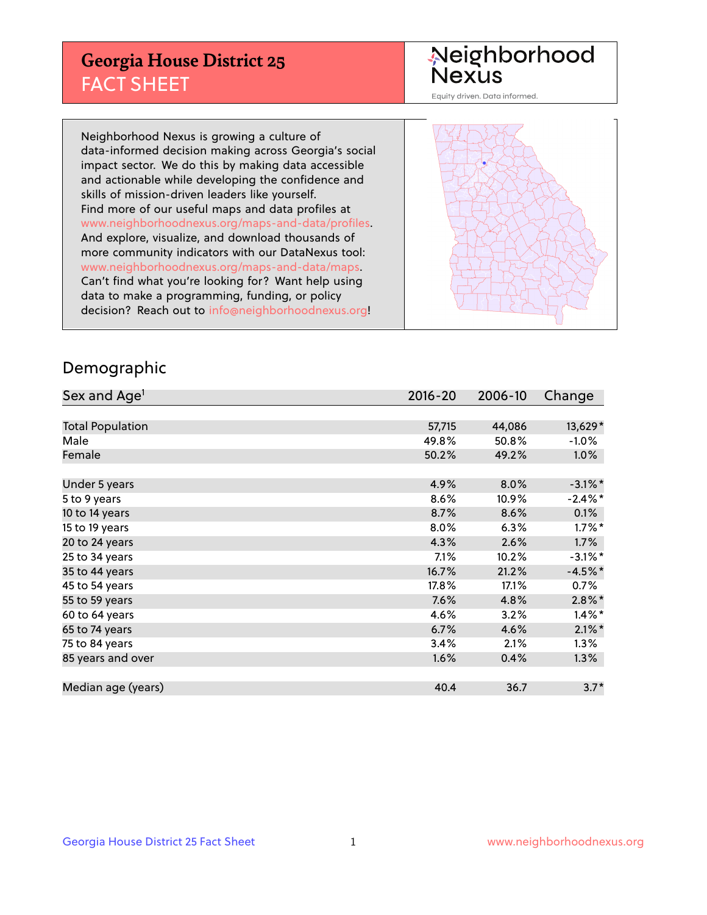## **Georgia House District 25** FACT SHEET

# Neighborhood<br>Nexus

Equity driven. Data informed.

Neighborhood Nexus is growing a culture of data-informed decision making across Georgia's social impact sector. We do this by making data accessible and actionable while developing the confidence and skills of mission-driven leaders like yourself. Find more of our useful maps and data profiles at www.neighborhoodnexus.org/maps-and-data/profiles. And explore, visualize, and download thousands of more community indicators with our DataNexus tool: www.neighborhoodnexus.org/maps-and-data/maps. Can't find what you're looking for? Want help using data to make a programming, funding, or policy decision? Reach out to [info@neighborhoodnexus.org!](mailto:info@neighborhoodnexus.org)



### Demographic

| Sex and Age <sup>1</sup> | $2016 - 20$ | 2006-10 | Change     |
|--------------------------|-------------|---------|------------|
|                          |             |         |            |
| <b>Total Population</b>  | 57,715      | 44,086  | 13,629*    |
| Male                     | 49.8%       | 50.8%   | $-1.0\%$   |
| Female                   | 50.2%       | 49.2%   | $1.0\%$    |
|                          |             |         |            |
| Under 5 years            | 4.9%        | 8.0%    | $-3.1\%$ * |
| 5 to 9 years             | 8.6%        | 10.9%   | $-2.4\%$ * |
| 10 to 14 years           | 8.7%        | 8.6%    | 0.1%       |
| 15 to 19 years           | 8.0%        | 6.3%    | $1.7\%$ *  |
| 20 to 24 years           | 4.3%        | 2.6%    | 1.7%       |
| 25 to 34 years           | 7.1%        | 10.2%   | $-3.1\%$ * |
| 35 to 44 years           | 16.7%       | 21.2%   | $-4.5%$ *  |
| 45 to 54 years           | 17.8%       | 17.1%   | 0.7%       |
| 55 to 59 years           | 7.6%        | 4.8%    | $2.8\%$ *  |
| 60 to 64 years           | 4.6%        | 3.2%    | $1.4\%$ *  |
| 65 to 74 years           | 6.7%        | 4.6%    | $2.1\%$ *  |
| 75 to 84 years           | 3.4%        | 2.1%    | $1.3\%$    |
| 85 years and over        | 1.6%        | 0.4%    | 1.3%       |
|                          |             |         |            |
| Median age (years)       | 40.4        | 36.7    | $3.7*$     |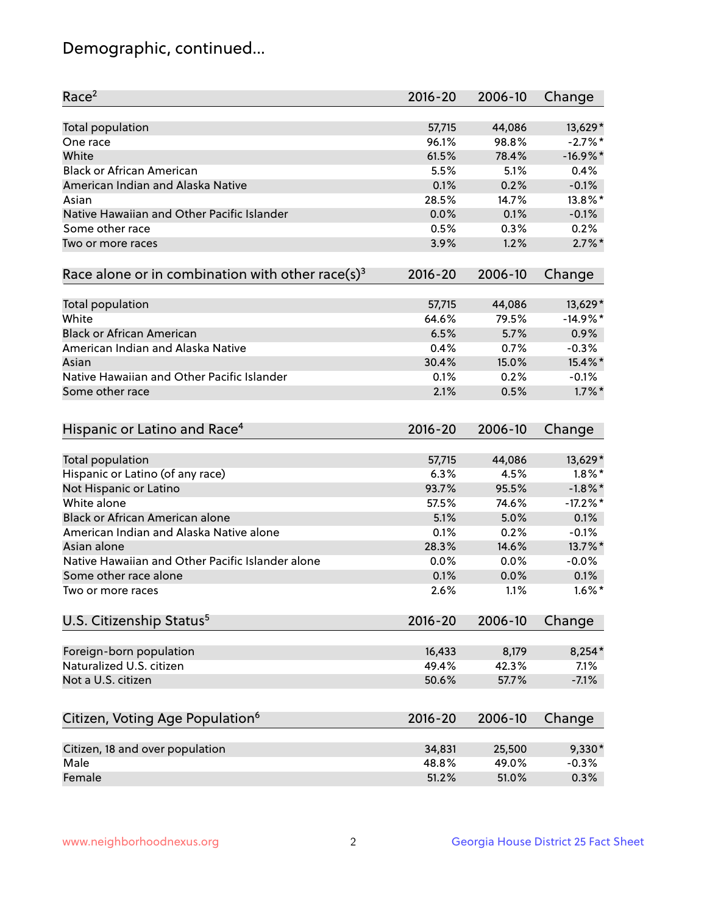## Demographic, continued...

| Race <sup>2</sup>                                            | $2016 - 20$ | 2006-10 | Change      |
|--------------------------------------------------------------|-------------|---------|-------------|
| <b>Total population</b>                                      | 57,715      | 44,086  | 13,629*     |
| One race                                                     | 96.1%       | 98.8%   | $-2.7%$ *   |
| White                                                        | 61.5%       | 78.4%   | $-16.9%$ *  |
| <b>Black or African American</b>                             | 5.5%        | 5.1%    | 0.4%        |
| American Indian and Alaska Native                            | 0.1%        | 0.2%    | $-0.1%$     |
| Asian                                                        | 28.5%       | 14.7%   | 13.8%*      |
| Native Hawaiian and Other Pacific Islander                   | 0.0%        | 0.1%    | $-0.1%$     |
| Some other race                                              | 0.5%        | 0.3%    | 0.2%        |
| Two or more races                                            | 3.9%        | 1.2%    | $2.7\%$ *   |
| Race alone or in combination with other race(s) <sup>3</sup> | $2016 - 20$ | 2006-10 | Change      |
|                                                              |             |         |             |
| Total population                                             | 57,715      | 44,086  | 13,629*     |
| White                                                        | 64.6%       | 79.5%   | $-14.9%$ *  |
| <b>Black or African American</b>                             | 6.5%        | 5.7%    | 0.9%        |
| American Indian and Alaska Native                            | 0.4%        | 0.7%    | $-0.3%$     |
| Asian                                                        | 30.4%       | 15.0%   | 15.4%*      |
| Native Hawaiian and Other Pacific Islander                   | 0.1%        | 0.2%    | $-0.1%$     |
| Some other race                                              | 2.1%        | 0.5%    | $1.7\%$ *   |
| Hispanic or Latino and Race <sup>4</sup>                     | $2016 - 20$ | 2006-10 | Change      |
| Total population                                             | 57,715      | 44,086  | 13,629*     |
| Hispanic or Latino (of any race)                             | 6.3%        | 4.5%    | $1.8\%$ *   |
| Not Hispanic or Latino                                       | 93.7%       | 95.5%   | $-1.8\%$ *  |
| White alone                                                  | 57.5%       | 74.6%   | $-17.2\%$ * |
| Black or African American alone                              | 5.1%        | 5.0%    | 0.1%        |
| American Indian and Alaska Native alone                      | 0.1%        | 0.2%    | $-0.1%$     |
| Asian alone                                                  | 28.3%       | 14.6%   | 13.7%*      |
| Native Hawaiian and Other Pacific Islander alone             |             |         |             |
|                                                              | $0.0\%$     | 0.0%    | $-0.0%$     |
| Some other race alone                                        | 0.1%        | 0.0%    | 0.1%        |
| Two or more races                                            | 2.6%        | 1.1%    | $1.6\%$ *   |
| U.S. Citizenship Status <sup>5</sup>                         | $2016 - 20$ | 2006-10 | Change      |
| Foreign-born population                                      | 16,433      | 8,179   | $8,254*$    |
| Naturalized U.S. citizen                                     | 49.4%       | 42.3%   | 7.1%        |
| Not a U.S. citizen                                           | 50.6%       | 57.7%   | $-7.1%$     |
|                                                              |             |         |             |
| Citizen, Voting Age Population <sup>6</sup>                  | $2016 - 20$ | 2006-10 | Change      |
| Citizen, 18 and over population                              | 34,831      | 25,500  | 9,330*      |
| Male                                                         | 48.8%       | 49.0%   | $-0.3%$     |
| Female                                                       | 51.2%       | 51.0%   | 0.3%        |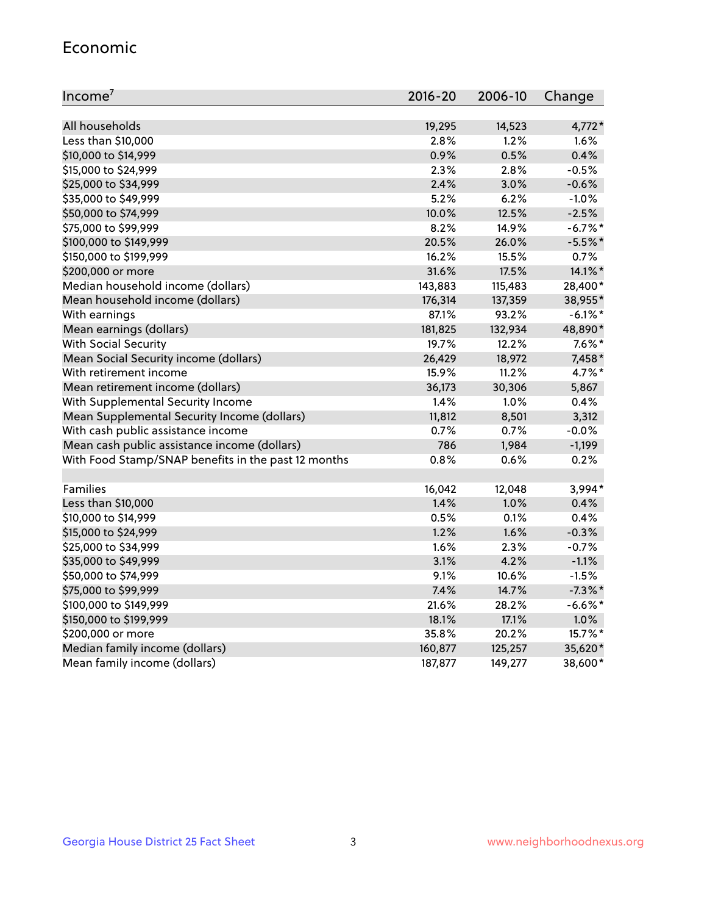#### Economic

| Income <sup>7</sup>                                 | $2016 - 20$ | 2006-10 | Change     |
|-----------------------------------------------------|-------------|---------|------------|
|                                                     |             |         |            |
| All households                                      | 19,295      | 14,523  | $4,772*$   |
| Less than \$10,000                                  | 2.8%        | 1.2%    | 1.6%       |
| \$10,000 to \$14,999                                | 0.9%        | 0.5%    | 0.4%       |
| \$15,000 to \$24,999                                | 2.3%        | 2.8%    | $-0.5%$    |
| \$25,000 to \$34,999                                | 2.4%        | 3.0%    | $-0.6%$    |
| \$35,000 to \$49,999                                | 5.2%        | 6.2%    | $-1.0%$    |
| \$50,000 to \$74,999                                | 10.0%       | 12.5%   | $-2.5%$    |
| \$75,000 to \$99,999                                | 8.2%        | 14.9%   | $-6.7\%$ * |
| \$100,000 to \$149,999                              | 20.5%       | 26.0%   | $-5.5%$ *  |
| \$150,000 to \$199,999                              | 16.2%       | 15.5%   | 0.7%       |
| \$200,000 or more                                   | 31.6%       | 17.5%   | 14.1%*     |
| Median household income (dollars)                   | 143,883     | 115,483 | 28,400*    |
| Mean household income (dollars)                     | 176,314     | 137,359 | 38,955*    |
| With earnings                                       | 87.1%       | 93.2%   | $-6.1\%$ * |
| Mean earnings (dollars)                             | 181,825     | 132,934 | 48,890*    |
| <b>With Social Security</b>                         | 19.7%       | 12.2%   | $7.6\%$ *  |
| Mean Social Security income (dollars)               | 26,429      | 18,972  | 7,458*     |
| With retirement income                              | 15.9%       | 11.2%   | 4.7%*      |
| Mean retirement income (dollars)                    | 36,173      | 30,306  | 5,867      |
| With Supplemental Security Income                   | $1.4\%$     | 1.0%    | 0.4%       |
| Mean Supplemental Security Income (dollars)         | 11,812      | 8,501   | 3,312      |
| With cash public assistance income                  | 0.7%        | 0.7%    | $-0.0%$    |
| Mean cash public assistance income (dollars)        | 786         | 1,984   | $-1,199$   |
| With Food Stamp/SNAP benefits in the past 12 months | 0.8%        | 0.6%    | 0.2%       |
|                                                     |             |         |            |
| Families                                            | 16,042      | 12,048  | 3,994*     |
| Less than \$10,000                                  | 1.4%        | 1.0%    | 0.4%       |
| \$10,000 to \$14,999                                | 0.5%        | 0.1%    | 0.4%       |
| \$15,000 to \$24,999                                | 1.2%        | 1.6%    | $-0.3%$    |
| \$25,000 to \$34,999                                | 1.6%        | 2.3%    | $-0.7%$    |
| \$35,000 to \$49,999                                | 3.1%        | 4.2%    | $-1.1%$    |
| \$50,000 to \$74,999                                | 9.1%        | 10.6%   | $-1.5%$    |
| \$75,000 to \$99,999                                | 7.4%        | 14.7%   | $-7.3\%$ * |
| \$100,000 to \$149,999                              | 21.6%       | 28.2%   | $-6.6%$ *  |
| \$150,000 to \$199,999                              | 18.1%       | 17.1%   | 1.0%       |
| \$200,000 or more                                   | 35.8%       | 20.2%   | 15.7%*     |
| Median family income (dollars)                      | 160,877     | 125,257 | 35,620*    |
| Mean family income (dollars)                        | 187,877     | 149,277 | 38,600*    |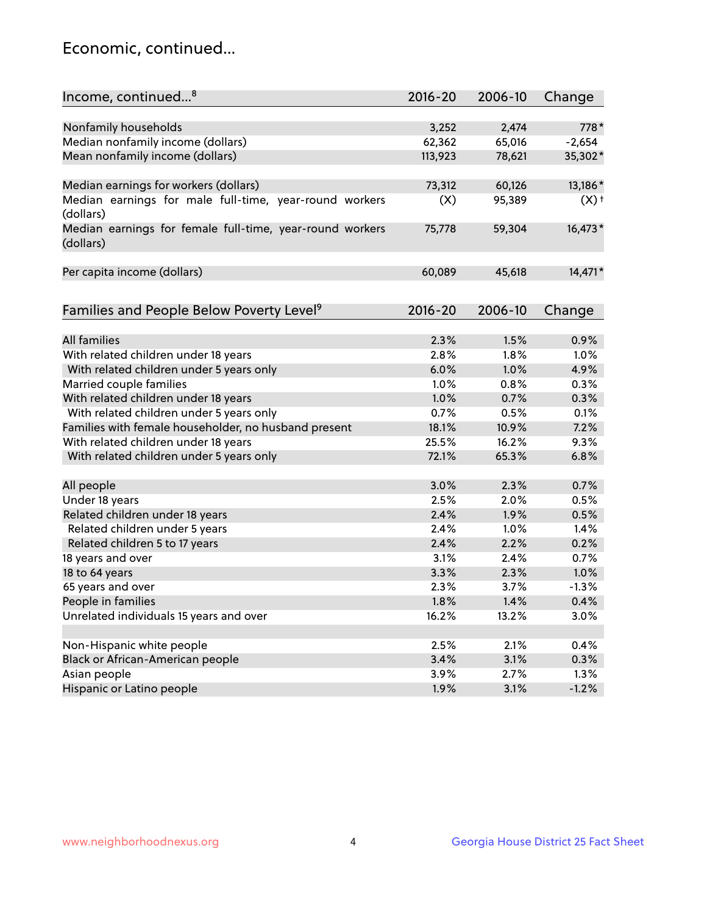## Economic, continued...

| Nonfamily households<br>3,252<br>2,474<br>778*<br>Median nonfamily income (dollars)<br>62,362<br>65,016<br>$-2,654$<br>Mean nonfamily income (dollars)<br>35,302*<br>113,923<br>78,621<br>73,312<br>13,186*<br>Median earnings for workers (dollars)<br>60,126<br>Median earnings for male full-time, year-round workers<br>(X)<br>$(X)$ <sup>+</sup><br>95,389<br>(dollars)<br>16,473*<br>Median earnings for female full-time, year-round workers<br>75,778<br>59,304<br>(dollars)<br>14,471*<br>Per capita income (dollars)<br>60,089<br>45,618<br>Families and People Below Poverty Level <sup>9</sup><br>$2016 - 20$<br>2006-10<br>Change<br><b>All families</b><br>2.3%<br>1.5%<br>0.9%<br>With related children under 18 years<br>2.8%<br>1.8%<br>1.0%<br>6.0%<br>1.0%<br>4.9%<br>With related children under 5 years only<br>Married couple families<br>1.0%<br>0.3%<br>0.8%<br>With related children under 18 years<br>1.0%<br>0.3%<br>0.7% |
|------------------------------------------------------------------------------------------------------------------------------------------------------------------------------------------------------------------------------------------------------------------------------------------------------------------------------------------------------------------------------------------------------------------------------------------------------------------------------------------------------------------------------------------------------------------------------------------------------------------------------------------------------------------------------------------------------------------------------------------------------------------------------------------------------------------------------------------------------------------------------------------------------------------------------------------------------|
|                                                                                                                                                                                                                                                                                                                                                                                                                                                                                                                                                                                                                                                                                                                                                                                                                                                                                                                                                      |
|                                                                                                                                                                                                                                                                                                                                                                                                                                                                                                                                                                                                                                                                                                                                                                                                                                                                                                                                                      |
|                                                                                                                                                                                                                                                                                                                                                                                                                                                                                                                                                                                                                                                                                                                                                                                                                                                                                                                                                      |
|                                                                                                                                                                                                                                                                                                                                                                                                                                                                                                                                                                                                                                                                                                                                                                                                                                                                                                                                                      |
|                                                                                                                                                                                                                                                                                                                                                                                                                                                                                                                                                                                                                                                                                                                                                                                                                                                                                                                                                      |
|                                                                                                                                                                                                                                                                                                                                                                                                                                                                                                                                                                                                                                                                                                                                                                                                                                                                                                                                                      |
|                                                                                                                                                                                                                                                                                                                                                                                                                                                                                                                                                                                                                                                                                                                                                                                                                                                                                                                                                      |
|                                                                                                                                                                                                                                                                                                                                                                                                                                                                                                                                                                                                                                                                                                                                                                                                                                                                                                                                                      |
|                                                                                                                                                                                                                                                                                                                                                                                                                                                                                                                                                                                                                                                                                                                                                                                                                                                                                                                                                      |
|                                                                                                                                                                                                                                                                                                                                                                                                                                                                                                                                                                                                                                                                                                                                                                                                                                                                                                                                                      |
|                                                                                                                                                                                                                                                                                                                                                                                                                                                                                                                                                                                                                                                                                                                                                                                                                                                                                                                                                      |
|                                                                                                                                                                                                                                                                                                                                                                                                                                                                                                                                                                                                                                                                                                                                                                                                                                                                                                                                                      |
|                                                                                                                                                                                                                                                                                                                                                                                                                                                                                                                                                                                                                                                                                                                                                                                                                                                                                                                                                      |
|                                                                                                                                                                                                                                                                                                                                                                                                                                                                                                                                                                                                                                                                                                                                                                                                                                                                                                                                                      |
|                                                                                                                                                                                                                                                                                                                                                                                                                                                                                                                                                                                                                                                                                                                                                                                                                                                                                                                                                      |
|                                                                                                                                                                                                                                                                                                                                                                                                                                                                                                                                                                                                                                                                                                                                                                                                                                                                                                                                                      |
|                                                                                                                                                                                                                                                                                                                                                                                                                                                                                                                                                                                                                                                                                                                                                                                                                                                                                                                                                      |
| With related children under 5 years only<br>0.7%<br>0.5%<br>0.1%                                                                                                                                                                                                                                                                                                                                                                                                                                                                                                                                                                                                                                                                                                                                                                                                                                                                                     |
| Families with female householder, no husband present<br>18.1%<br>7.2%<br>10.9%                                                                                                                                                                                                                                                                                                                                                                                                                                                                                                                                                                                                                                                                                                                                                                                                                                                                       |
| With related children under 18 years<br>25.5%<br>9.3%<br>16.2%                                                                                                                                                                                                                                                                                                                                                                                                                                                                                                                                                                                                                                                                                                                                                                                                                                                                                       |
| 65.3%<br>6.8%<br>With related children under 5 years only<br>72.1%                                                                                                                                                                                                                                                                                                                                                                                                                                                                                                                                                                                                                                                                                                                                                                                                                                                                                   |
| 0.7%<br>All people<br>3.0%<br>2.3%                                                                                                                                                                                                                                                                                                                                                                                                                                                                                                                                                                                                                                                                                                                                                                                                                                                                                                                   |
| Under 18 years<br>2.5%<br>2.0%<br>0.5%                                                                                                                                                                                                                                                                                                                                                                                                                                                                                                                                                                                                                                                                                                                                                                                                                                                                                                               |
| Related children under 18 years<br>2.4%<br>1.9%<br>0.5%                                                                                                                                                                                                                                                                                                                                                                                                                                                                                                                                                                                                                                                                                                                                                                                                                                                                                              |
| Related children under 5 years<br>2.4%<br>1.0%<br>1.4%                                                                                                                                                                                                                                                                                                                                                                                                                                                                                                                                                                                                                                                                                                                                                                                                                                                                                               |
| Related children 5 to 17 years<br>2.4%<br>2.2%<br>0.2%                                                                                                                                                                                                                                                                                                                                                                                                                                                                                                                                                                                                                                                                                                                                                                                                                                                                                               |
| 18 years and over<br>3.1%<br>2.4%<br>0.7%                                                                                                                                                                                                                                                                                                                                                                                                                                                                                                                                                                                                                                                                                                                                                                                                                                                                                                            |
| 18 to 64 years<br>3.3%<br>1.0%<br>2.3%                                                                                                                                                                                                                                                                                                                                                                                                                                                                                                                                                                                                                                                                                                                                                                                                                                                                                                               |
| 65 years and over<br>2.3%<br>3.7%<br>$-1.3%$                                                                                                                                                                                                                                                                                                                                                                                                                                                                                                                                                                                                                                                                                                                                                                                                                                                                                                         |
| People in families<br>1.8%<br>0.4%<br>1.4%                                                                                                                                                                                                                                                                                                                                                                                                                                                                                                                                                                                                                                                                                                                                                                                                                                                                                                           |
| Unrelated individuals 15 years and over<br>3.0%<br>16.2%                                                                                                                                                                                                                                                                                                                                                                                                                                                                                                                                                                                                                                                                                                                                                                                                                                                                                             |
| 13.2%                                                                                                                                                                                                                                                                                                                                                                                                                                                                                                                                                                                                                                                                                                                                                                                                                                                                                                                                                |
| Non-Hispanic white people<br>2.5%<br>2.1%<br>0.4%                                                                                                                                                                                                                                                                                                                                                                                                                                                                                                                                                                                                                                                                                                                                                                                                                                                                                                    |
| Black or African-American people<br>3.4%<br>3.1%<br>0.3%                                                                                                                                                                                                                                                                                                                                                                                                                                                                                                                                                                                                                                                                                                                                                                                                                                                                                             |
| 3.9%<br>1.3%<br>Asian people<br>2.7%                                                                                                                                                                                                                                                                                                                                                                                                                                                                                                                                                                                                                                                                                                                                                                                                                                                                                                                 |
| $-1.2%$<br>Hispanic or Latino people<br>1.9%<br>3.1%                                                                                                                                                                                                                                                                                                                                                                                                                                                                                                                                                                                                                                                                                                                                                                                                                                                                                                 |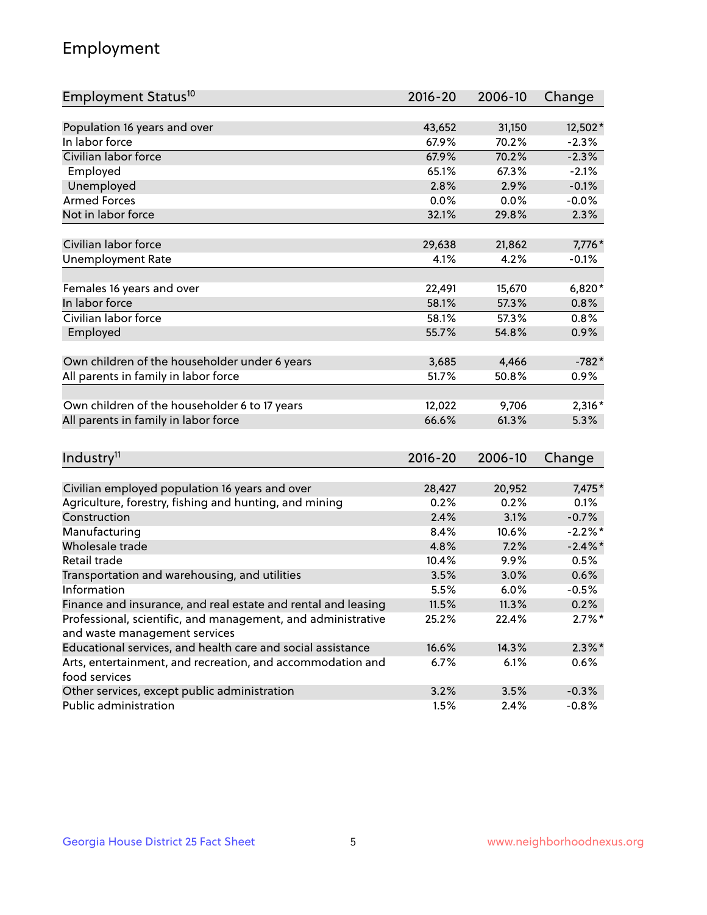## Employment

| Employment Status <sup>10</sup>                                             | $2016 - 20$ | 2006-10 | Change     |
|-----------------------------------------------------------------------------|-------------|---------|------------|
|                                                                             |             |         |            |
| Population 16 years and over                                                | 43,652      | 31,150  | 12,502*    |
| In labor force                                                              | 67.9%       | 70.2%   | $-2.3%$    |
| Civilian labor force                                                        | 67.9%       | 70.2%   | $-2.3%$    |
| Employed                                                                    | 65.1%       | 67.3%   | $-2.1%$    |
| Unemployed                                                                  | 2.8%        | 2.9%    | $-0.1%$    |
| <b>Armed Forces</b>                                                         | 0.0%        | 0.0%    | $-0.0%$    |
| Not in labor force                                                          | 32.1%       | 29.8%   | 2.3%       |
|                                                                             |             |         |            |
| Civilian labor force                                                        | 29,638      | 21,862  | 7,776*     |
| <b>Unemployment Rate</b>                                                    | 4.1%        | 4.2%    | $-0.1%$    |
| Females 16 years and over                                                   | 22,491      | 15,670  | $6,820*$   |
| In labor force                                                              | 58.1%       | 57.3%   | 0.8%       |
| Civilian labor force                                                        | 58.1%       | 57.3%   | 0.8%       |
| Employed                                                                    | 55.7%       | 54.8%   | 0.9%       |
|                                                                             |             |         |            |
| Own children of the householder under 6 years                               | 3,685       | 4,466   | $-782*$    |
| All parents in family in labor force                                        | 51.7%       | 50.8%   | 0.9%       |
|                                                                             |             |         |            |
| Own children of the householder 6 to 17 years                               | 12,022      | 9,706   | $2,316*$   |
| All parents in family in labor force                                        | 66.6%       | 61.3%   | 5.3%       |
|                                                                             |             |         |            |
| Industry <sup>11</sup>                                                      | $2016 - 20$ | 2006-10 | Change     |
|                                                                             |             |         |            |
| Civilian employed population 16 years and over                              | 28,427      | 20,952  | 7,475*     |
| Agriculture, forestry, fishing and hunting, and mining                      | 0.2%        | 0.2%    | 0.1%       |
| Construction                                                                | 2.4%        | 3.1%    | $-0.7%$    |
| Manufacturing                                                               | 8.4%        | 10.6%   | $-2.2\%$ * |
| Wholesale trade                                                             | 4.8%        | 7.2%    | $-2.4\%$   |
| Retail trade                                                                | 10.4%       | 9.9%    | 0.5%       |
| Transportation and warehousing, and utilities                               | 3.5%        | 3.0%    | 0.6%       |
| Information                                                                 | 5.5%        | 6.0%    | $-0.5%$    |
| Finance and insurance, and real estate and rental and leasing               | 11.5%       | 11.3%   | 0.2%       |
| Professional, scientific, and management, and administrative                | 25.2%       | 22.4%   | $2.7\%$ *  |
| and waste management services                                               |             |         |            |
| Educational services, and health care and social assistance                 | 16.6%       | 14.3%   | $2.3\%$ *  |
| Arts, entertainment, and recreation, and accommodation and<br>food services | 6.7%        | 6.1%    | $0.6\%$    |
| Other services, except public administration                                | 3.2%        | 3.5%    | $-0.3%$    |
| Public administration                                                       | 1.5%        | 2.4%    | $-0.8%$    |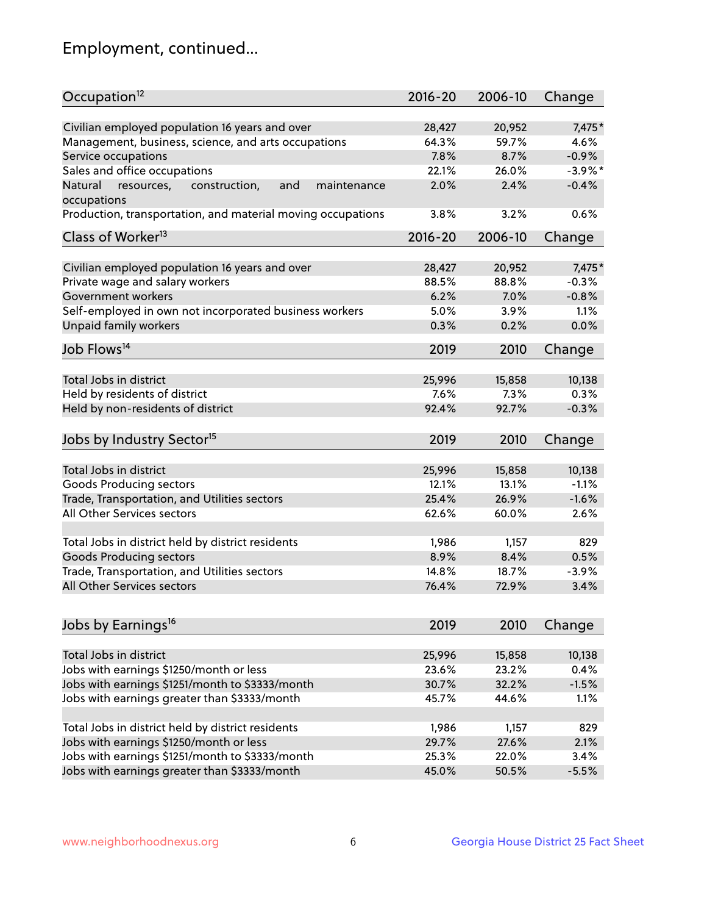## Employment, continued...

| Occupation <sup>12</sup>                                    | $2016 - 20$ | 2006-10 | Change     |
|-------------------------------------------------------------|-------------|---------|------------|
| Civilian employed population 16 years and over              | 28,427      | 20,952  | 7,475*     |
| Management, business, science, and arts occupations         | 64.3%       | 59.7%   | 4.6%       |
| Service occupations                                         | 7.8%        | 8.7%    | $-0.9%$    |
| Sales and office occupations                                | 22.1%       | 26.0%   | $-3.9\%$ * |
| Natural<br>and<br>maintenance                               | 2.0%        | 2.4%    | $-0.4%$    |
| resources,<br>construction,<br>occupations                  |             |         |            |
| Production, transportation, and material moving occupations | 3.8%        | 3.2%    | 0.6%       |
| Class of Worker <sup>13</sup>                               | $2016 - 20$ | 2006-10 | Change     |
| Civilian employed population 16 years and over              | 28,427      | 20,952  | 7,475*     |
| Private wage and salary workers                             | 88.5%       | 88.8%   | $-0.3%$    |
| Government workers                                          | 6.2%        | 7.0%    | $-0.8%$    |
| Self-employed in own not incorporated business workers      | 5.0%        | 3.9%    | 1.1%       |
| Unpaid family workers                                       | 0.3%        | 0.2%    | 0.0%       |
| Job Flows <sup>14</sup>                                     | 2019        | 2010    | Change     |
|                                                             |             |         |            |
| Total Jobs in district                                      | 25,996      | 15,858  | 10,138     |
| Held by residents of district                               | 7.6%        | 7.3%    | 0.3%       |
| Held by non-residents of district                           | 92.4%       | 92.7%   | $-0.3%$    |
| Jobs by Industry Sector <sup>15</sup>                       | 2019        | 2010    | Change     |
| Total Jobs in district                                      | 25,996      | 15,858  | 10,138     |
| Goods Producing sectors                                     | 12.1%       | 13.1%   | $-1.1%$    |
| Trade, Transportation, and Utilities sectors                | 25.4%       | 26.9%   | $-1.6%$    |
| All Other Services sectors                                  | 62.6%       | 60.0%   | 2.6%       |
|                                                             |             |         |            |
| Total Jobs in district held by district residents           | 1,986       | 1,157   | 829        |
| <b>Goods Producing sectors</b>                              | 8.9%        | 8.4%    | 0.5%       |
| Trade, Transportation, and Utilities sectors                | 14.8%       | 18.7%   | $-3.9%$    |
| All Other Services sectors                                  | 76.4%       | 72.9%   | 3.4%       |
|                                                             |             |         |            |
| Jobs by Earnings <sup>16</sup>                              | 2019        | 2010    | Change     |
| Total Jobs in district                                      | 25,996      | 15,858  | 10,138     |
| Jobs with earnings \$1250/month or less                     | 23.6%       | 23.2%   | 0.4%       |
| Jobs with earnings \$1251/month to \$3333/month             | 30.7%       | 32.2%   | $-1.5%$    |
| Jobs with earnings greater than \$3333/month                | 45.7%       | 44.6%   | 1.1%       |
|                                                             |             |         |            |
| Total Jobs in district held by district residents           | 1,986       | 1,157   | 829        |
| Jobs with earnings \$1250/month or less                     | 29.7%       | 27.6%   | 2.1%       |
| Jobs with earnings \$1251/month to \$3333/month             | 25.3%       | 22.0%   | 3.4%       |
| Jobs with earnings greater than \$3333/month                | 45.0%       | 50.5%   | $-5.5%$    |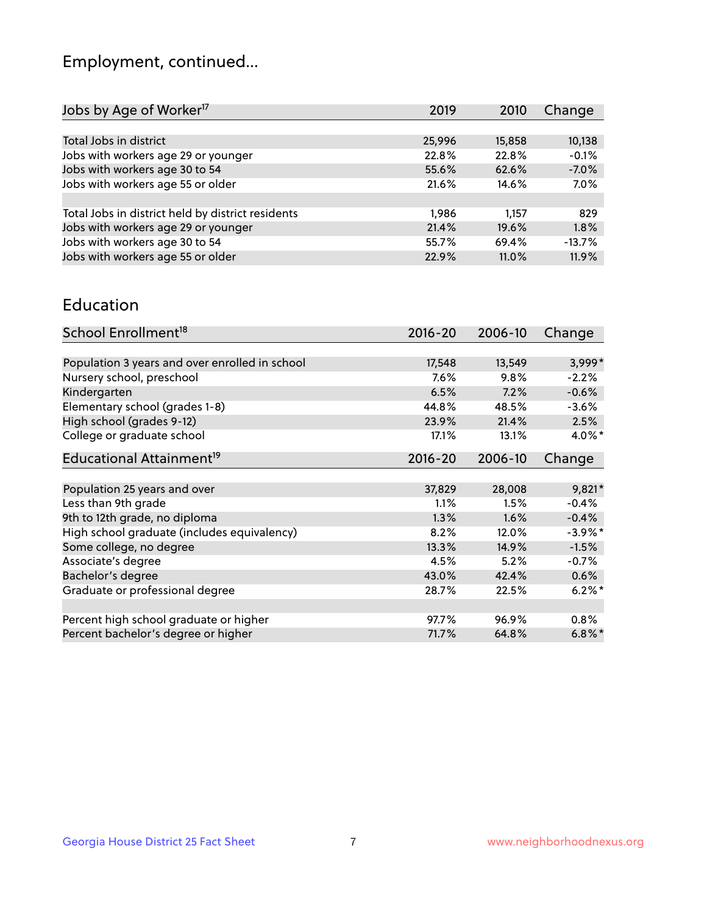## Employment, continued...

| 2019   | 2010   | Change   |
|--------|--------|----------|
|        |        |          |
| 25,996 | 15,858 | 10,138   |
| 22.8%  | 22.8%  | $-0.1%$  |
| 55.6%  | 62.6%  | $-7.0%$  |
| 21.6%  | 14.6%  | 7.0%     |
|        |        |          |
| 1,986  | 1.157  | 829      |
| 21.4%  | 19.6%  | 1.8%     |
| 55.7%  | 69.4%  | $-13.7%$ |
| 22.9%  | 11.0%  | 11.9%    |
|        |        |          |

#### Education

| School Enrollment <sup>18</sup>                | $2016 - 20$ | 2006-10 | Change     |
|------------------------------------------------|-------------|---------|------------|
|                                                |             |         |            |
| Population 3 years and over enrolled in school | 17,548      | 13,549  | 3,999*     |
| Nursery school, preschool                      | $7.6\%$     | 9.8%    | $-2.2%$    |
| Kindergarten                                   | 6.5%        | 7.2%    | $-0.6%$    |
| Elementary school (grades 1-8)                 | 44.8%       | 48.5%   | $-3.6%$    |
| High school (grades 9-12)                      | 23.9%       | 21.4%   | 2.5%       |
| College or graduate school                     | 17.1%       | 13.1%   | $4.0\%$ *  |
| Educational Attainment <sup>19</sup>           | $2016 - 20$ | 2006-10 | Change     |
|                                                |             |         |            |
| Population 25 years and over                   | 37,829      | 28,008  | $9,821*$   |
| Less than 9th grade                            | 1.1%        | 1.5%    | $-0.4%$    |
| 9th to 12th grade, no diploma                  | 1.3%        | 1.6%    | $-0.4%$    |
| High school graduate (includes equivalency)    | 8.2%        | 12.0%   | $-3.9\%$ * |
| Some college, no degree                        | 13.3%       | 14.9%   | $-1.5%$    |
| Associate's degree                             | 4.5%        | 5.2%    | $-0.7%$    |
| Bachelor's degree                              | 43.0%       | 42.4%   | 0.6%       |
| Graduate or professional degree                | 28.7%       | 22.5%   | $6.2\%$ *  |
|                                                |             |         |            |
| Percent high school graduate or higher         | 97.7%       | 96.9%   | 0.8%       |
| Percent bachelor's degree or higher            | 71.7%       | 64.8%   | $6.8\%$ *  |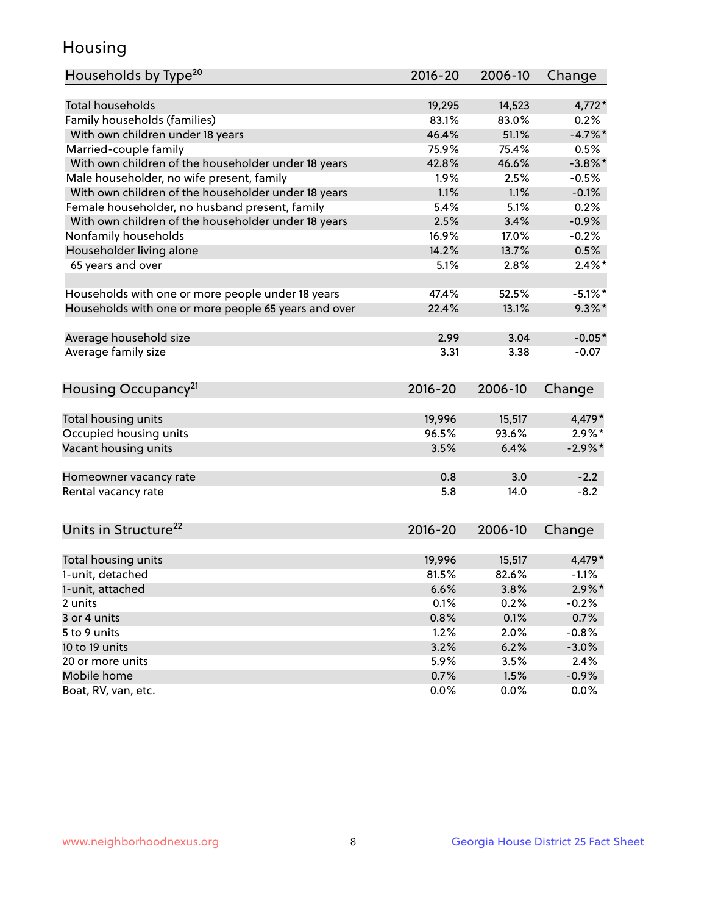## Housing

| Households by Type <sup>20</sup>                     | 2016-20     | 2006-10 | Change              |
|------------------------------------------------------|-------------|---------|---------------------|
|                                                      |             |         |                     |
| <b>Total households</b>                              | 19,295      | 14,523  | $4,772*$            |
| Family households (families)                         | 83.1%       | 83.0%   | 0.2%                |
| With own children under 18 years                     | 46.4%       | 51.1%   | $-4.7%$ *           |
| Married-couple family                                | 75.9%       | 75.4%   | 0.5%                |
| With own children of the householder under 18 years  | 42.8%       | 46.6%   | $-3.8\%$ *          |
| Male householder, no wife present, family            | 1.9%        | 2.5%    | $-0.5%$             |
| With own children of the householder under 18 years  | 1.1%        | 1.1%    | $-0.1%$             |
| Female householder, no husband present, family       | 5.4%        | 5.1%    | 0.2%                |
| With own children of the householder under 18 years  | 2.5%        | 3.4%    | $-0.9%$             |
| Nonfamily households                                 | 16.9%       | 17.0%   | $-0.2%$             |
| Householder living alone                             | 14.2%       | 13.7%   | 0.5%                |
| 65 years and over                                    | 5.1%        | 2.8%    | $2.4\%$ *           |
|                                                      | 47.4%       |         |                     |
| Households with one or more people under 18 years    |             | 52.5%   | $-5.1\%$ *          |
| Households with one or more people 65 years and over | 22.4%       | 13.1%   | $9.3\%$ *           |
| Average household size                               | 2.99        | 3.04    | $-0.05*$            |
| Average family size                                  | 3.31        | 3.38    | $-0.07$             |
|                                                      |             |         |                     |
| Housing Occupancy <sup>21</sup>                      | $2016 - 20$ | 2006-10 | Change              |
|                                                      |             |         |                     |
| Total housing units                                  | 19,996      | 15,517  | 4,479 *             |
| Occupied housing units                               | 96.5%       | 93.6%   | $2.9\%*$            |
| Vacant housing units                                 | 3.5%        | 6.4%    | $-2.9\%$ *          |
| Homeowner vacancy rate                               | 0.8         | 3.0     | $-2.2$              |
| Rental vacancy rate                                  | 5.8         | 14.0    | $-8.2$              |
|                                                      |             |         |                     |
| Units in Structure <sup>22</sup>                     | $2016 - 20$ | 2006-10 | Change              |
| Total housing units                                  | 19,996      | 15,517  | 4,479*              |
| 1-unit, detached                                     | 81.5%       | 82.6%   | $-1.1%$             |
|                                                      |             |         |                     |
| 1-unit, attached                                     | 6.6%        | 3.8%    | $2.9\%*$<br>$-0.2%$ |
| 2 units                                              | 0.1%        | 0.2%    |                     |
| 3 or 4 units                                         | 0.8%        | 0.1%    | 0.7%                |
| 5 to 9 units                                         | 1.2%        | 2.0%    | $-0.8%$             |
| 10 to 19 units                                       | 3.2%        | 6.2%    | $-3.0%$             |
| 20 or more units                                     | 5.9%        | 3.5%    | 2.4%                |
| Mobile home                                          | 0.7%        | 1.5%    | $-0.9\%$            |
| Boat, RV, van, etc.                                  | 0.0%        | 0.0%    | 0.0%                |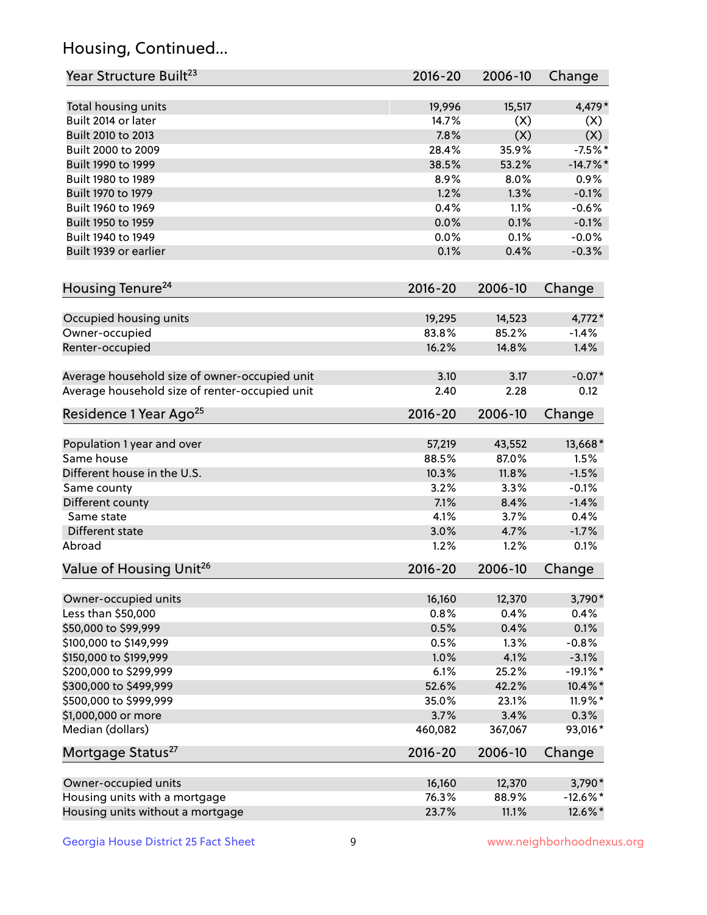## Housing, Continued...

| Year Structure Built <sup>23</sup>             | 2016-20     | 2006-10 | Change      |
|------------------------------------------------|-------------|---------|-------------|
| Total housing units                            | 19,996      | 15,517  | 4,479*      |
| Built 2014 or later                            | 14.7%       | (X)     | (X)         |
| Built 2010 to 2013                             | 7.8%        | (X)     | (X)         |
| Built 2000 to 2009                             | 28.4%       | 35.9%   | $-7.5%$ *   |
| Built 1990 to 1999                             | 38.5%       | 53.2%   | $-14.7%$    |
| Built 1980 to 1989                             | 8.9%        | 8.0%    | 0.9%        |
| Built 1970 to 1979                             | 1.2%        | 1.3%    | $-0.1%$     |
| Built 1960 to 1969                             | 0.4%        | 1.1%    | $-0.6%$     |
| Built 1950 to 1959                             | 0.0%        | 0.1%    | $-0.1%$     |
| Built 1940 to 1949                             | 0.0%        | 0.1%    | $-0.0%$     |
| Built 1939 or earlier                          | 0.1%        | 0.4%    | $-0.3%$     |
| Housing Tenure <sup>24</sup>                   | 2016-20     | 2006-10 | Change      |
|                                                |             |         |             |
| Occupied housing units                         | 19,295      | 14,523  | $4,772*$    |
| Owner-occupied                                 | 83.8%       | 85.2%   | $-1.4%$     |
| Renter-occupied                                | 16.2%       | 14.8%   | 1.4%        |
| Average household size of owner-occupied unit  | 3.10        | 3.17    | $-0.07*$    |
| Average household size of renter-occupied unit | 2.40        | 2.28    | 0.12        |
| Residence 1 Year Ago <sup>25</sup>             | 2016-20     | 2006-10 | Change      |
| Population 1 year and over                     | 57,219      | 43,552  | 13,668*     |
| Same house                                     | 88.5%       | 87.0%   | 1.5%        |
| Different house in the U.S.                    | 10.3%       | 11.8%   | $-1.5%$     |
| Same county                                    | 3.2%        | 3.3%    | $-0.1%$     |
| Different county                               | 7.1%        | 8.4%    | $-1.4%$     |
| Same state                                     | 4.1%        | 3.7%    | 0.4%        |
| Different state                                | 3.0%        | 4.7%    | $-1.7%$     |
| Abroad                                         | 1.2%        | 1.2%    | 0.1%        |
| Value of Housing Unit <sup>26</sup>            | $2016 - 20$ | 2006-10 | Change      |
| Owner-occupied units                           | 16,160      | 12,370  | 3,790*      |
| Less than \$50,000                             | 0.8%        | 0.4%    | 0.4%        |
| \$50,000 to \$99,999                           | 0.5%        | 0.4%    | 0.1%        |
| \$100,000 to \$149,999                         | 0.5%        | 1.3%    | $-0.8%$     |
| \$150,000 to \$199,999                         | 1.0%        | 4.1%    | $-3.1%$     |
| \$200,000 to \$299,999                         | 6.1%        | 25.2%   | $-19.1\%$ * |
| \$300,000 to \$499,999                         | 52.6%       | 42.2%   | 10.4%*      |
| \$500,000 to \$999,999                         | 35.0%       | 23.1%   | $11.9\%$ *  |
| \$1,000,000 or more                            | 3.7%        | 3.4%    | 0.3%        |
| Median (dollars)                               | 460,082     | 367,067 | 93,016*     |
| Mortgage Status <sup>27</sup>                  | $2016 - 20$ | 2006-10 | Change      |
| Owner-occupied units                           | 16,160      | 12,370  | 3,790*      |
| Housing units with a mortgage                  | 76.3%       | 88.9%   | $-12.6\%$ * |
| Housing units without a mortgage               | 23.7%       | 11.1%   | 12.6%*      |
|                                                |             |         |             |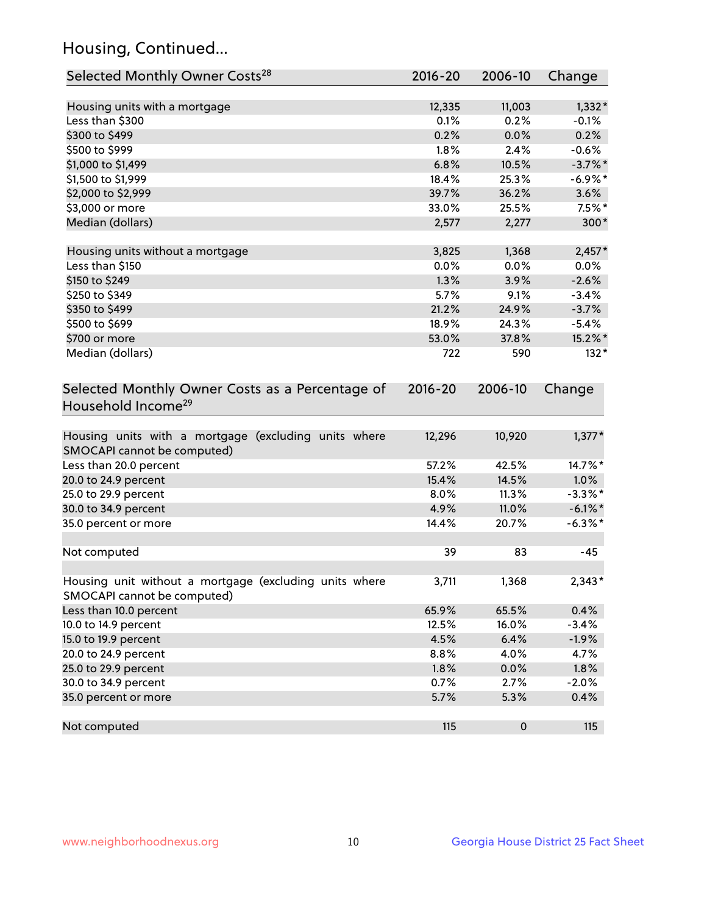## Housing, Continued...

| Selected Monthly Owner Costs <sup>28</sup>                                            | $2016 - 20$ | 2006-10   | Change     |
|---------------------------------------------------------------------------------------|-------------|-----------|------------|
| Housing units with a mortgage                                                         | 12,335      | 11,003    | $1,332*$   |
| Less than \$300                                                                       | 0.1%        | 0.2%      | $-0.1%$    |
| \$300 to \$499                                                                        | 0.2%        | 0.0%      | 0.2%       |
| \$500 to \$999                                                                        | 1.8%        | 2.4%      | $-0.6%$    |
| \$1,000 to \$1,499                                                                    | 6.8%        | 10.5%     | $-3.7%$ *  |
| \$1,500 to \$1,999                                                                    | 18.4%       | 25.3%     | $-6.9%$ *  |
| \$2,000 to \$2,999                                                                    | 39.7%       | 36.2%     | 3.6%       |
| \$3,000 or more                                                                       | 33.0%       | 25.5%     | $7.5\%$ *  |
| Median (dollars)                                                                      | 2,577       | 2,277     | 300*       |
| Housing units without a mortgage                                                      | 3,825       | 1,368     | $2,457*$   |
| Less than \$150                                                                       | 0.0%        | 0.0%      | 0.0%       |
| \$150 to \$249                                                                        | 1.3%        | 3.9%      | $-2.6%$    |
| \$250 to \$349                                                                        | 5.7%        | 9.1%      | $-3.4%$    |
| \$350 to \$499                                                                        | 21.2%       | 24.9%     | $-3.7%$    |
| \$500 to \$699                                                                        | 18.9%       | 24.3%     | $-5.4%$    |
| \$700 or more                                                                         | 53.0%       | 37.8%     | 15.2%*     |
| Median (dollars)                                                                      | 722         | 590       | $132*$     |
| Selected Monthly Owner Costs as a Percentage of<br>Household Income <sup>29</sup>     |             |           | Change     |
| Housing units with a mortgage (excluding units where<br>SMOCAPI cannot be computed)   | 12,296      | 10,920    | $1,377*$   |
| Less than 20.0 percent                                                                | 57.2%       | 42.5%     | 14.7%*     |
| 20.0 to 24.9 percent                                                                  | 15.4%       | 14.5%     | 1.0%       |
| 25.0 to 29.9 percent                                                                  | 8.0%        | 11.3%     | $-3.3\%$ * |
| 30.0 to 34.9 percent                                                                  | 4.9%        | 11.0%     | $-6.1\%$ * |
| 35.0 percent or more                                                                  | 14.4%       | 20.7%     | $-6.3\%$ * |
| Not computed                                                                          | 39          | 83        | $-45$      |
| Housing unit without a mortgage (excluding units where<br>SMOCAPI cannot be computed) | 3,711       | 1,368     | $2,343*$   |
| Less than 10.0 percent                                                                | 65.9%       | 65.5%     | 0.4%       |
| 10.0 to 14.9 percent                                                                  | 12.5%       | 16.0%     | $-3.4%$    |
| 15.0 to 19.9 percent                                                                  | 4.5%        | 6.4%      | $-1.9%$    |
| 20.0 to 24.9 percent                                                                  | 8.8%        | 4.0%      | 4.7%       |
| 25.0 to 29.9 percent                                                                  | 1.8%        | 0.0%      | 1.8%       |
| 30.0 to 34.9 percent                                                                  | 0.7%        | 2.7%      | $-2.0%$    |
| 35.0 percent or more                                                                  | 5.7%        | 5.3%      | 0.4%       |
| Not computed                                                                          | 115         | $\pmb{0}$ | 115        |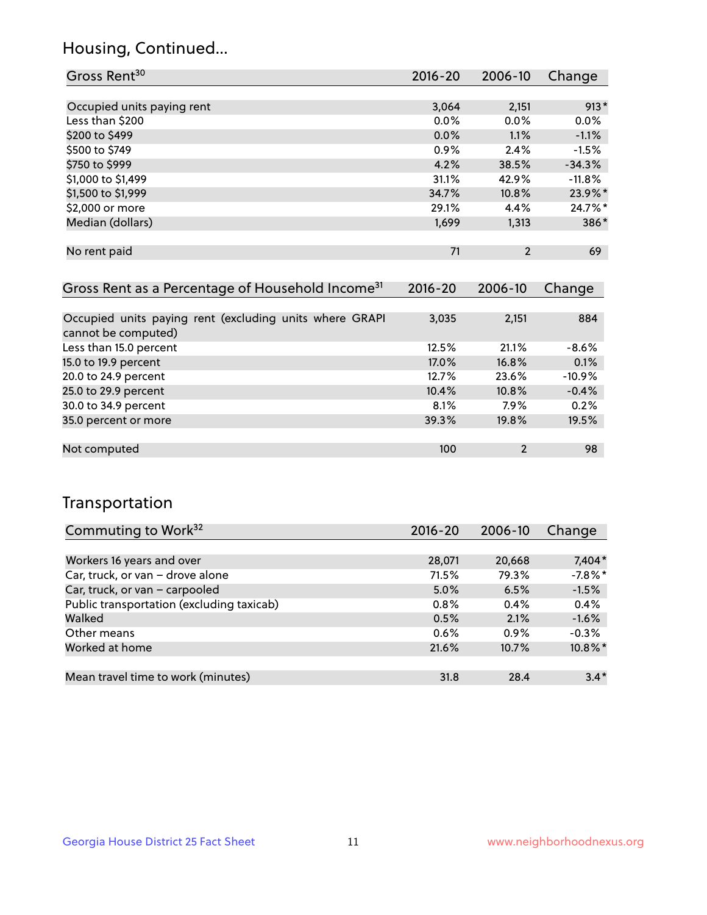## Housing, Continued...

| Gross Rent <sup>30</sup>   | 2016-20 | 2006-10        | Change     |
|----------------------------|---------|----------------|------------|
|                            |         |                |            |
| Occupied units paying rent | 3,064   | 2,151          | $913*$     |
| Less than \$200            | 0.0%    | $0.0\%$        | 0.0%       |
| \$200 to \$499             | 0.0%    | 1.1%           | $-1.1%$    |
| \$500 to \$749             | 0.9%    | 2.4%           | $-1.5%$    |
| \$750 to \$999             | 4.2%    | 38.5%          | $-34.3%$   |
| \$1,000 to \$1,499         | 31.1%   | 42.9%          | $-11.8%$   |
| \$1,500 to \$1,999         | 34.7%   | 10.8%          | 23.9%*     |
| \$2,000 or more            | 29.1%   | 4.4%           | $24.7\%$ * |
| Median (dollars)           | 1,699   | 1,313          | 386*       |
|                            |         |                |            |
| No rent paid               | 71      | $\overline{2}$ | 69         |

| Gross Rent as a Percentage of Household Income <sup>31</sup>                   | $2016 - 20$ | 2006-10        | Change   |
|--------------------------------------------------------------------------------|-------------|----------------|----------|
|                                                                                |             |                |          |
| Occupied units paying rent (excluding units where GRAPI<br>cannot be computed) | 3,035       | 2,151          | 884      |
| Less than 15.0 percent                                                         | 12.5%       | 21.1%          | $-8.6%$  |
| 15.0 to 19.9 percent                                                           | 17.0%       | 16.8%          | 0.1%     |
| 20.0 to 24.9 percent                                                           | 12.7%       | 23.6%          | $-10.9%$ |
| 25.0 to 29.9 percent                                                           | 10.4%       | 10.8%          | $-0.4%$  |
| 30.0 to 34.9 percent                                                           | 8.1%        | 7.9%           | 0.2%     |
| 35.0 percent or more                                                           | 39.3%       | 19.8%          | 19.5%    |
|                                                                                |             |                |          |
| Not computed                                                                   | 100         | $\overline{2}$ | 98       |

## Transportation

| Commuting to Work <sup>32</sup>           | 2016-20 | 2006-10 | Change    |
|-------------------------------------------|---------|---------|-----------|
|                                           |         |         |           |
| Workers 16 years and over                 | 28,071  | 20,668  | $7,404*$  |
| Car, truck, or van - drove alone          | 71.5%   | 79.3%   | $-7.8%$ * |
| Car, truck, or van - carpooled            | 5.0%    | 6.5%    | $-1.5%$   |
| Public transportation (excluding taxicab) | 0.8%    | 0.4%    | 0.4%      |
| Walked                                    | 0.5%    | 2.1%    | $-1.6%$   |
| Other means                               | $0.6\%$ | 0.9%    | $-0.3%$   |
| Worked at home                            | 21.6%   | 10.7%   | 10.8%*    |
|                                           |         |         |           |
| Mean travel time to work (minutes)        | 31.8    | 28.4    | $3.4*$    |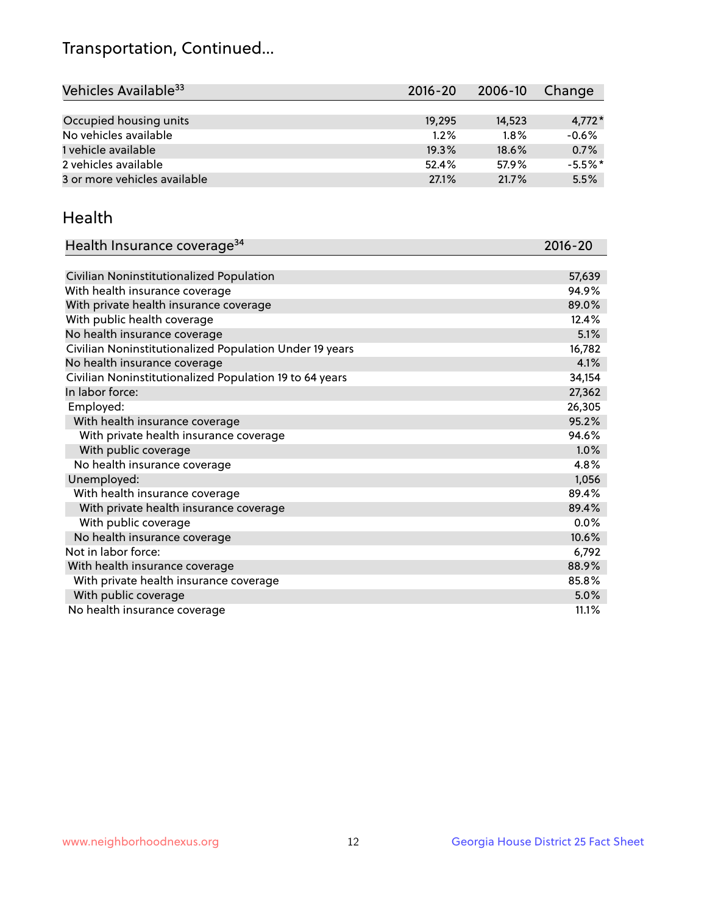## Transportation, Continued...

| Vehicles Available <sup>33</sup> | $2016 - 20$ | 2006-10 | Change   |
|----------------------------------|-------------|---------|----------|
|                                  |             |         |          |
| Occupied housing units           | 19,295      | 14.523  | $4,772*$ |
| No vehicles available            | $1.2\%$     | 1.8%    | $-0.6%$  |
| 1 vehicle available              | 19.3%       | 18.6%   | 0.7%     |
| 2 vehicles available             | 52.4%       | 57.9%   | $-5.5%$  |
| 3 or more vehicles available     | 27.1%       | 21.7%   | 5.5%     |

#### Health

| Health Insurance coverage <sup>34</sup>                 | 2016-20 |
|---------------------------------------------------------|---------|
|                                                         |         |
| Civilian Noninstitutionalized Population                | 57,639  |
| With health insurance coverage                          | 94.9%   |
| With private health insurance coverage                  | 89.0%   |
| With public health coverage                             | 12.4%   |
| No health insurance coverage                            | 5.1%    |
| Civilian Noninstitutionalized Population Under 19 years | 16,782  |
| No health insurance coverage                            | 4.1%    |
| Civilian Noninstitutionalized Population 19 to 64 years | 34,154  |
| In labor force:                                         | 27,362  |
| Employed:                                               | 26,305  |
| With health insurance coverage                          | 95.2%   |
| With private health insurance coverage                  | 94.6%   |
| With public coverage                                    | 1.0%    |
| No health insurance coverage                            | 4.8%    |
| Unemployed:                                             | 1,056   |
| With health insurance coverage                          | 89.4%   |
| With private health insurance coverage                  | 89.4%   |
| With public coverage                                    | $0.0\%$ |
| No health insurance coverage                            | 10.6%   |
| Not in labor force:                                     | 6,792   |
| With health insurance coverage                          | 88.9%   |
| With private health insurance coverage                  | 85.8%   |
| With public coverage                                    | 5.0%    |
| No health insurance coverage                            | 11.1%   |